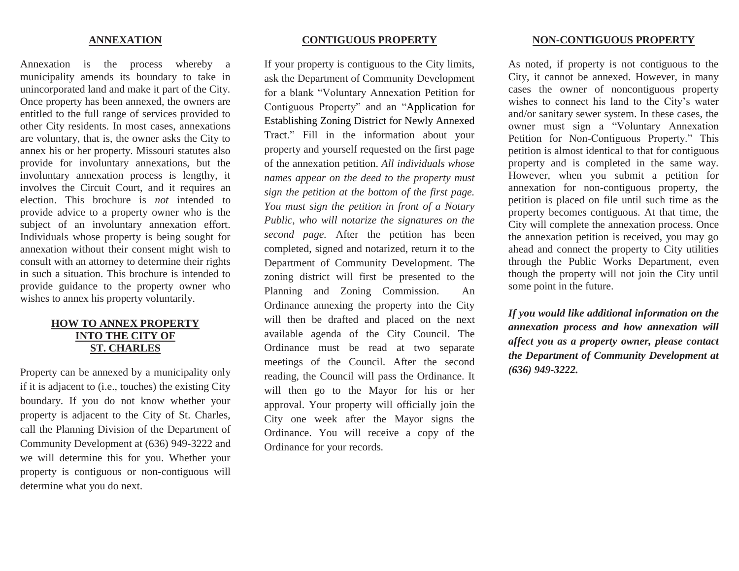### **ANNEXATION**

Annexation is the process whereby a municipality amends its boundary to take in unincorporated land and make it part of the City. Once property has been annexed, the owners are entitled to the full range of services provided to other City residents. In most cases, annexations are voluntary, that is, the owner asks the City to annex his or her property. Missouri statutes also provide for involuntary annexations, but the involuntary annexation process is lengthy, it involves the Circuit Court, and it requires an election. This brochure is *not* intended to provide advice to a property owner who is the subject of an involuntary annexation effort. Individuals whose property is being sought for annexation without their consent might wish to consult with an attorney to determine their rights in such a situation. This brochure is intended to provide guidance to the property owner who wishes to annex his property voluntarily.

## **HOW TO ANNEX PROPERTY INTO THE CITY OF ST. CHARLES**

Property can be annexed by a municipality only if it is adjacent to (i.e., touches) the existing City boundary. If you do not know whether your property is adjacent to the City of St. Charles, call the Planning Division of the Department of Community Development at (636) 949-3222 and we will determine this for you. Whether your property is contiguous or non-contiguous will determine what you do next.

## **CONTIGUOUS PROPERTY**

If your property is contiguous to the City limits, ask the Department of Community Development for a blank "Voluntary Annexation Petition for Contiguous Property" and an "Application for Establishing Zoning District for Newly Annexed Tract." Fill in the information about your property and yourself requested on the first page of the annexation petition. *All individuals whose names appear on the deed to the property must sign the petition at the bottom of the first page. You must sign the petition in front of a Notary Public, who will notarize the signatures on the second page.* After the petition has been completed, signed and notarized, return it to the Department of Community Development. The zoning district will first be presented to the Planning and Zoning Commission. An Ordinance annexing the property into the City will then be drafted and placed on the next available agenda of the City Council. The Ordinance must be read at two separate meetings of the Council. After the second reading, the Council will pass the Ordinance. It will then go to the Mayor for his or her approval. Your property will officially join the City one week after the Mayor signs the Ordinance. You will receive a copy of the Ordinance for your records.

### **NON-CONTIGUOUS PROPERTY**

As noted, if property is not contiguous to the City, it cannot be annexed. However, in many cases the owner of noncontiguous property wishes to connect his land to the City's water and/or sanitary sewer system. In these cases, the owner must sign a "Voluntary Annexation Petition for Non-Contiguous Property." This petition is almost identical to that for contiguous property and is completed in the same way. However, when you submit a petition for annexation for non-contiguous property, the petition is placed on file until such time as the property becomes contiguous. At that time, the City will complete the annexation process. Once the annexation petition is received, you may go ahead and connect the property to City utilities through the Public Works Department, even though the property will not join the City until some point in the future.

*If you would like additional information on the annexation process and how annexation will affect you as a property owner, please contact the Department of Community Development at (636) 949-3222.*